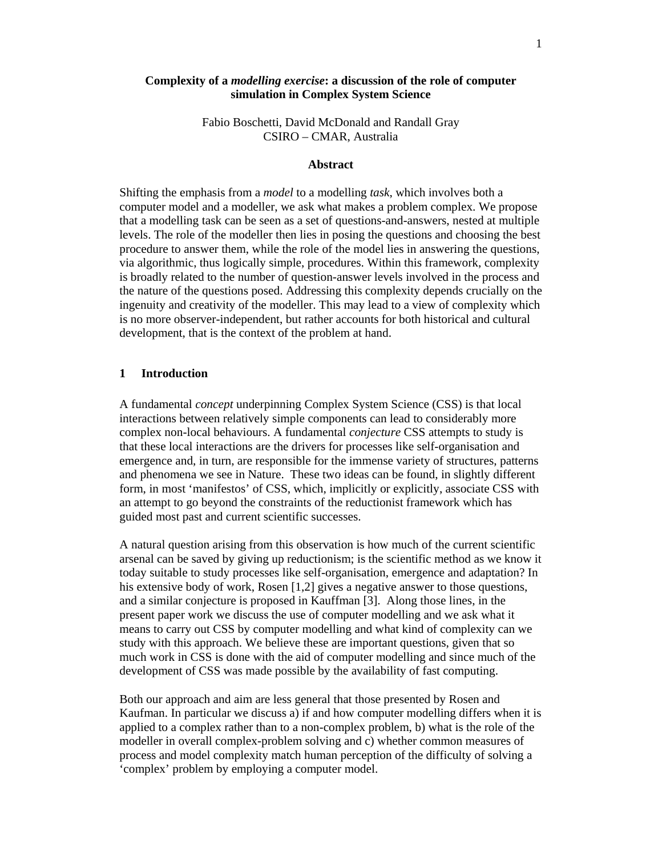# **Complexity of a** *modelling exercise***: a discussion of the role of computer simulation in Complex System Science**

Fabio Boschetti, David McDonald and Randall Gray CSIRO – CMAR, Australia

#### **Abstract**

Shifting the emphasis from a *model* to a modelling *task*, which involves both a computer model and a modeller, we ask what makes a problem complex. We propose that a modelling task can be seen as a set of questions-and-answers, nested at multiple levels. The role of the modeller then lies in posing the questions and choosing the best procedure to answer them, while the role of the model lies in answering the questions, via algorithmic, thus logically simple, procedures. Within this framework, complexity is broadly related to the number of question-answer levels involved in the process and the nature of the questions posed. Addressing this complexity depends crucially on the ingenuity and creativity of the modeller. This may lead to a view of complexity which is no more observer-independent, but rather accounts for both historical and cultural development, that is the context of the problem at hand.

### **1 Introduction**

A fundamental *concept* underpinning Complex System Science (CSS) is that local interactions between relatively simple components can lead to considerably more complex non-local behaviours. A fundamental *conjecture* CSS attempts to study is that these local interactions are the drivers for processes like self-organisation and emergence and, in turn, are responsible for the immense variety of structures, patterns and phenomena we see in Nature. These two ideas can be found, in slightly different form, in most 'manifestos' of CSS, which, implicitly or explicitly, associate CSS with an attempt to go beyond the constraints of the reductionist framework which has guided most past and current scientific successes.

A natural question arising from this observation is how much of the current scientific arsenal can be saved by giving up reductionism; is the scientific method as we know it today suitable to study processes like self-organisation, emergence and adaptation? In his extensive body of work, Rosen [1,2] gives a negative answer to those questions, and a similar conjecture is proposed in Kauffman [3]. Along those lines, in the present paper work we discuss the use of computer modelling and we ask what it means to carry out CSS by computer modelling and what kind of complexity can we study with this approach. We believe these are important questions, given that so much work in CSS is done with the aid of computer modelling and since much of the development of CSS was made possible by the availability of fast computing.

Both our approach and aim are less general that those presented by Rosen and Kaufman. In particular we discuss a) if and how computer modelling differs when it is applied to a complex rather than to a non-complex problem, b) what is the role of the modeller in overall complex-problem solving and c) whether common measures of process and model complexity match human perception of the difficulty of solving a 'complex' problem by employing a computer model.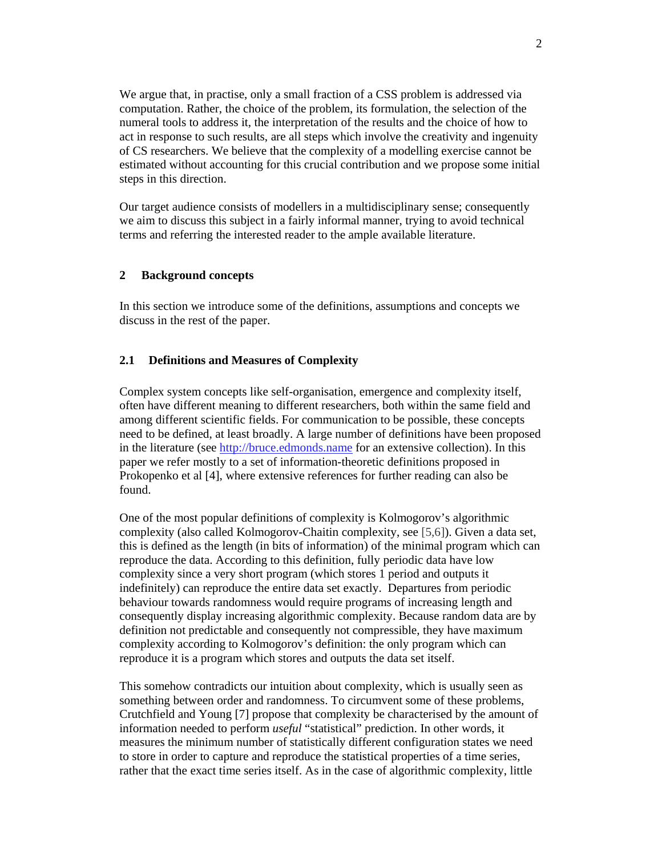We argue that, in practise, only a small fraction of a CSS problem is addressed via computation. Rather, the choice of the problem, its formulation, the selection of the numeral tools to address it, the interpretation of the results and the choice of how to act in response to such results, are all steps which involve the creativity and ingenuity of CS researchers. We believe that the complexity of a modelling exercise cannot be estimated without accounting for this crucial contribution and we propose some initial steps in this direction.

Our target audience consists of modellers in a multidisciplinary sense; consequently we aim to discuss this subject in a fairly informal manner, trying to avoid technical terms and referring the interested reader to the ample available literature.

### **2 Background concepts**

In this section we introduce some of the definitions, assumptions and concepts we discuss in the rest of the paper.

### **2.1 Definitions and Measures of Complexity**

Complex system concepts like self-organisation, emergence and complexity itself, often have different meaning to different researchers, both within the same field and among different scientific fields. For communication to be possible, these concepts need to be defined, at least broadly. A large number of definitions have been proposed in the literature (see http://bruce.edmonds.name for an extensive collection). In this paper we refer mostly to a set of information-theoretic definitions proposed in Prokopenko et al [4], where extensive references for further reading can also be found.

One of the most popular definitions of complexity is Kolmogorov's algorithmic complexity (also called Kolmogorov-Chaitin complexity, see [5,6]). Given a data set, this is defined as the length (in bits of information) of the minimal program which can reproduce the data. According to this definition, fully periodic data have low complexity since a very short program (which stores 1 period and outputs it indefinitely) can reproduce the entire data set exactly. Departures from periodic behaviour towards randomness would require programs of increasing length and consequently display increasing algorithmic complexity. Because random data are by definition not predictable and consequently not compressible, they have maximum complexity according to Kolmogorov's definition: the only program which can reproduce it is a program which stores and outputs the data set itself.

This somehow contradicts our intuition about complexity, which is usually seen as something between order and randomness. To circumvent some of these problems, Crutchfield and Young [7] propose that complexity be characterised by the amount of information needed to perform *useful* "statistical" prediction. In other words, it measures the minimum number of statistically different configuration states we need to store in order to capture and reproduce the statistical properties of a time series, rather that the exact time series itself. As in the case of algorithmic complexity, little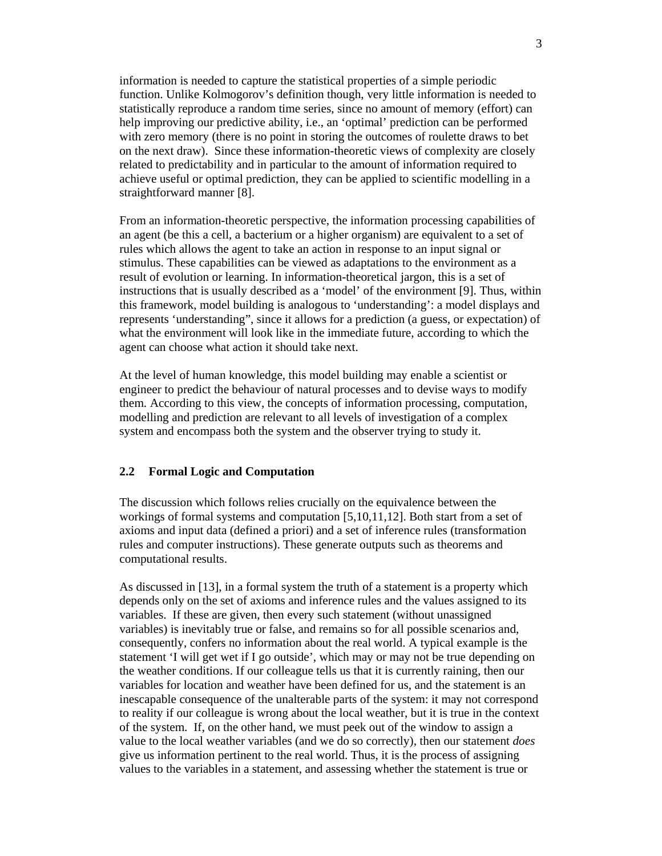information is needed to capture the statistical properties of a simple periodic function. Unlike Kolmogorov's definition though, very little information is needed to statistically reproduce a random time series, since no amount of memory (effort) can help improving our predictive ability, i.e., an 'optimal' prediction can be performed with zero memory (there is no point in storing the outcomes of roulette draws to bet on the next draw). Since these information-theoretic views of complexity are closely related to predictability and in particular to the amount of information required to achieve useful or optimal prediction, they can be applied to scientific modelling in a straightforward manner [8].

From an information-theoretic perspective, the information processing capabilities of an agent (be this a cell, a bacterium or a higher organism) are equivalent to a set of rules which allows the agent to take an action in response to an input signal or stimulus. These capabilities can be viewed as adaptations to the environment as a result of evolution or learning. In information-theoretical jargon, this is a set of instructions that is usually described as a 'model' of the environment [9]. Thus, within this framework, model building is analogous to 'understanding': a model displays and represents 'understanding", since it allows for a prediction (a guess, or expectation) of what the environment will look like in the immediate future, according to which the agent can choose what action it should take next.

At the level of human knowledge, this model building may enable a scientist or engineer to predict the behaviour of natural processes and to devise ways to modify them. According to this view, the concepts of information processing, computation, modelling and prediction are relevant to all levels of investigation of a complex system and encompass both the system and the observer trying to study it.

### **2.2 Formal Logic and Computation**

The discussion which follows relies crucially on the equivalence between the workings of formal systems and computation [5,10,11,12]. Both start from a set of axioms and input data (defined a priori) and a set of inference rules (transformation rules and computer instructions). These generate outputs such as theorems and computational results.

As discussed in [13], in a formal system the truth of a statement is a property which depends only on the set of axioms and inference rules and the values assigned to its variables. If these are given, then every such statement (without unassigned variables) is inevitably true or false, and remains so for all possible scenarios and, consequently, confers no information about the real world. A typical example is the statement 'I will get wet if I go outside', which may or may not be true depending on the weather conditions. If our colleague tells us that it is currently raining, then our variables for location and weather have been defined for us, and the statement is an inescapable consequence of the unalterable parts of the system: it may not correspond to reality if our colleague is wrong about the local weather, but it is true in the context of the system. If, on the other hand, we must peek out of the window to assign a value to the local weather variables (and we do so correctly), then our statement *does* give us information pertinent to the real world. Thus, it is the process of assigning values to the variables in a statement, and assessing whether the statement is true or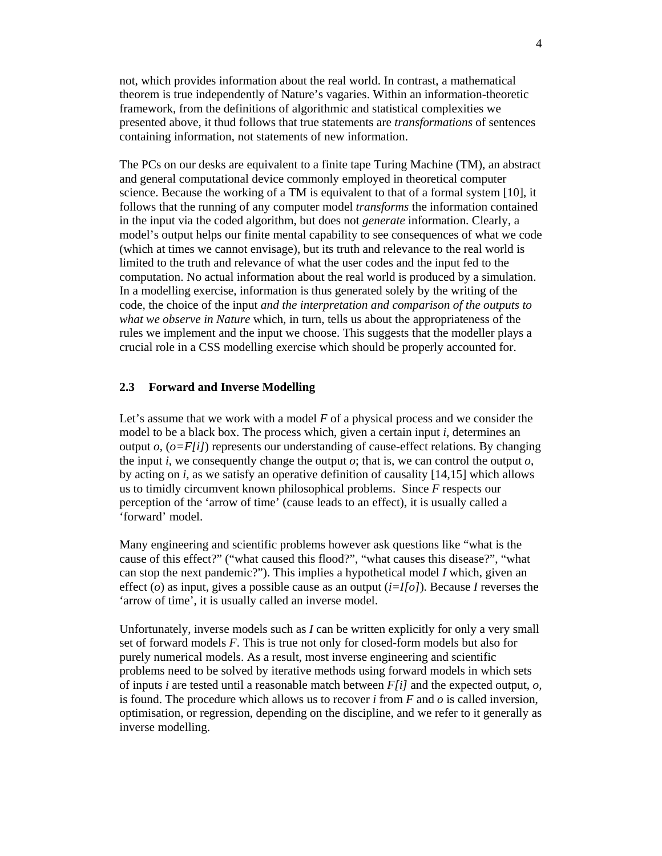not, which provides information about the real world. In contrast, a mathematical theorem is true independently of Nature's vagaries. Within an information-theoretic framework, from the definitions of algorithmic and statistical complexities we presented above, it thud follows that true statements are *transformations* of sentences containing information, not statements of new information.

The PCs on our desks are equivalent to a finite tape Turing Machine (TM), an abstract and general computational device commonly employed in theoretical computer science. Because the working of a TM is equivalent to that of a formal system [10], it follows that the running of any computer model *transforms* the information contained in the input via the coded algorithm, but does not *generate* information. Clearly, a model's output helps our finite mental capability to see consequences of what we code (which at times we cannot envisage), but its truth and relevance to the real world is limited to the truth and relevance of what the user codes and the input fed to the computation. No actual information about the real world is produced by a simulation. In a modelling exercise, information is thus generated solely by the writing of the code, the choice of the input *and the interpretation and comparison of the outputs to what we observe in Nature* which, in turn, tells us about the appropriateness of the rules we implement and the input we choose. This suggests that the modeller plays a crucial role in a CSS modelling exercise which should be properly accounted for.

#### **2.3 Forward and Inverse Modelling**

Let's assume that we work with a model *F* of a physical process and we consider the model to be a black box. The process which, given a certain input *i*, determines an output  $o$ ,  $(o = F[i])$  represents our understanding of cause-effect relations. By changing the input *i*, we consequently change the output *o*; that is, we can control the output *o*, by acting on *i*, as we satisfy an operative definition of causality [14,15] which allows us to timidly circumvent known philosophical problems. Since *F* respects our perception of the 'arrow of time' (cause leads to an effect), it is usually called a 'forward' model.

Many engineering and scientific problems however ask questions like "what is the cause of this effect?" ("what caused this flood?", "what causes this disease?", "what can stop the next pandemic?"). This implies a hypothetical model *I* which, given an effect (*o*) as input, gives a possible cause as an output (*i=I[o]*). Because *I* reverses the 'arrow of time', it is usually called an inverse model.

Unfortunately, inverse models such as *I* can be written explicitly for only a very small set of forward models *F*. This is true not only for closed-form models but also for purely numerical models. As a result, most inverse engineering and scientific problems need to be solved by iterative methods using forward models in which sets of inputs *i* are tested until a reasonable match between *F[i]* and the expected output, *o,* is found. The procedure which allows us to recover *i* from *F* and *o* is called inversion, optimisation, or regression, depending on the discipline, and we refer to it generally as inverse modelling.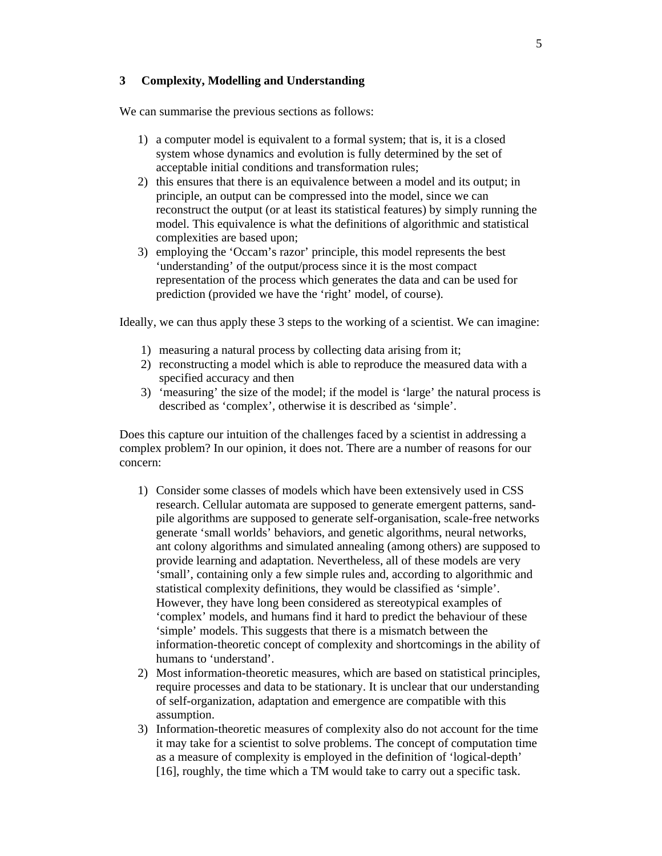# **3 Complexity, Modelling and Understanding**

We can summarise the previous sections as follows:

- 1) a computer model is equivalent to a formal system; that is, it is a closed system whose dynamics and evolution is fully determined by the set of acceptable initial conditions and transformation rules;
- 2) this ensures that there is an equivalence between a model and its output; in principle, an output can be compressed into the model, since we can reconstruct the output (or at least its statistical features) by simply running the model. This equivalence is what the definitions of algorithmic and statistical complexities are based upon;
- 3) employing the 'Occam's razor' principle, this model represents the best 'understanding' of the output/process since it is the most compact representation of the process which generates the data and can be used for prediction (provided we have the 'right' model, of course).

Ideally, we can thus apply these 3 steps to the working of a scientist. We can imagine:

- 1) measuring a natural process by collecting data arising from it;
- 2) reconstructing a model which is able to reproduce the measured data with a specified accuracy and then
- 3) 'measuring' the size of the model; if the model is 'large' the natural process is described as 'complex', otherwise it is described as 'simple'.

Does this capture our intuition of the challenges faced by a scientist in addressing a complex problem? In our opinion, it does not. There are a number of reasons for our concern:

- 1) Consider some classes of models which have been extensively used in CSS research. Cellular automata are supposed to generate emergent patterns, sandpile algorithms are supposed to generate self-organisation, scale-free networks generate 'small worlds' behaviors, and genetic algorithms, neural networks, ant colony algorithms and simulated annealing (among others) are supposed to provide learning and adaptation. Nevertheless, all of these models are very 'small', containing only a few simple rules and, according to algorithmic and statistical complexity definitions, they would be classified as 'simple'. However, they have long been considered as stereotypical examples of 'complex' models, and humans find it hard to predict the behaviour of these 'simple' models. This suggests that there is a mismatch between the information-theoretic concept of complexity and shortcomings in the ability of humans to 'understand'.
- 2) Most information-theoretic measures, which are based on statistical principles, require processes and data to be stationary. It is unclear that our understanding of self-organization, adaptation and emergence are compatible with this assumption.
- 3) Information-theoretic measures of complexity also do not account for the time it may take for a scientist to solve problems. The concept of computation time as a measure of complexity is employed in the definition of 'logical-depth' [16], roughly, the time which a TM would take to carry out a specific task.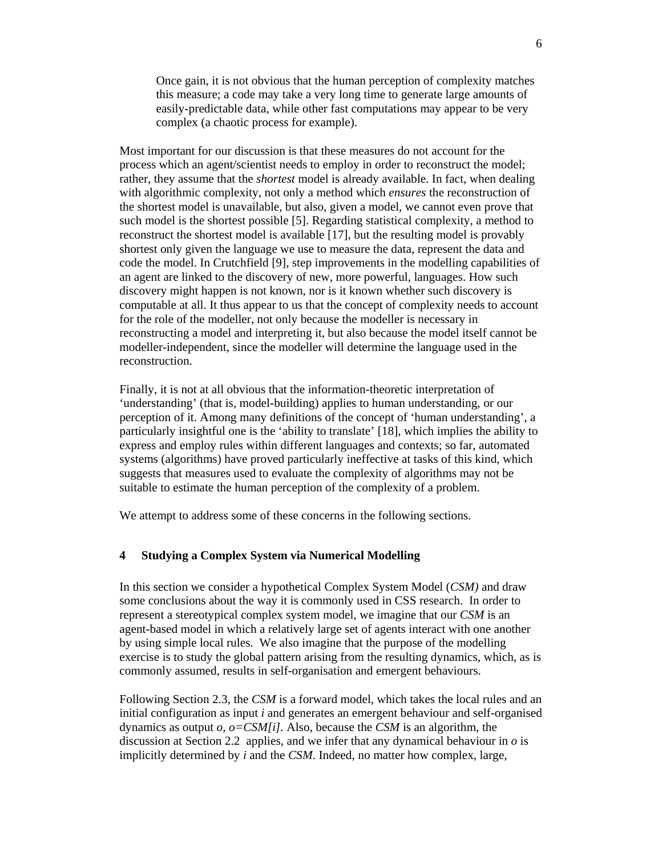Once gain, it is not obvious that the human perception of complexity matches this measure; a code may take a very long time to generate large amounts of easily-predictable data, while other fast computations may appear to be very complex (a chaotic process for example).

Most important for our discussion is that these measures do not account for the process which an agent/scientist needs to employ in order to reconstruct the model; rather, they assume that the *shortest* model is already available. In fact, when dealing with algorithmic complexity, not only a method which *ensures* the reconstruction of the shortest model is unavailable, but also, given a model, we cannot even prove that such model is the shortest possible [5]. Regarding statistical complexity, a method to reconstruct the shortest model is available [17], but the resulting model is provably shortest only given the language we use to measure the data, represent the data and code the model. In Crutchfield [9], step improvements in the modelling capabilities of an agent are linked to the discovery of new, more powerful, languages. How such discovery might happen is not known, nor is it known whether such discovery is computable at all. It thus appear to us that the concept of complexity needs to account for the role of the modeller, not only because the modeller is necessary in reconstructing a model and interpreting it, but also because the model itself cannot be modeller-independent, since the modeller will determine the language used in the reconstruction.

Finally, it is not at all obvious that the information-theoretic interpretation of 'understanding' (that is, model-building) applies to human understanding, or our perception of it. Among many definitions of the concept of 'human understanding', a particularly insightful one is the 'ability to translate' [18], which implies the ability to express and employ rules within different languages and contexts; so far, automated systems (algorithms) have proved particularly ineffective at tasks of this kind, which suggests that measures used to evaluate the complexity of algorithms may not be suitable to estimate the human perception of the complexity of a problem.

We attempt to address some of these concerns in the following sections.

# **4 Studying a Complex System via Numerical Modelling**

In this section we consider a hypothetical Complex System Model (*CSM)* and draw some conclusions about the way it is commonly used in CSS research. In order to represent a stereotypical complex system model, we imagine that our *CSM* is an agent-based model in which a relatively large set of agents interact with one another by using simple local rules. We also imagine that the purpose of the modelling exercise is to study the global pattern arising from the resulting dynamics, which, as is commonly assumed, results in self-organisation and emergent behaviours.

Following Section 2.3, the *CSM* is a forward model, which takes the local rules and an initial configuration as input *i* and generates an emergent behaviour and self-organised dynamics as output *o, o=CSM[i].* Also, because the *CSM* is an algorithm, the discussion at Section 2.2 applies, and we infer that any dynamical behaviour in *o* is implicitly determined by *i* and the *CSM*. Indeed, no matter how complex, large,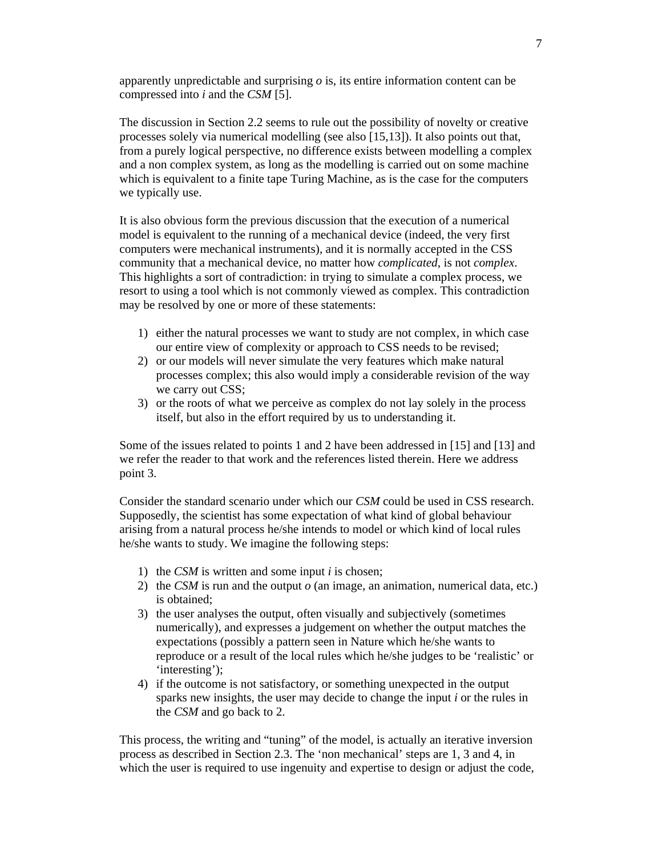apparently unpredictable and surprising *o* is, its entire information content can be compressed into *i* and the *CSM* [5].

The discussion in Section 2.2 seems to rule out the possibility of novelty or creative processes solely via numerical modelling (see also [15,13]). It also points out that, from a purely logical perspective, no difference exists between modelling a complex and a non complex system, as long as the modelling is carried out on some machine which is equivalent to a finite tape Turing Machine, as is the case for the computers we typically use.

It is also obvious form the previous discussion that the execution of a numerical model is equivalent to the running of a mechanical device (indeed, the very first computers were mechanical instruments), and it is normally accepted in the CSS community that a mechanical device, no matter how *complicated*, is not *complex*. This highlights a sort of contradiction: in trying to simulate a complex process, we resort to using a tool which is not commonly viewed as complex. This contradiction may be resolved by one or more of these statements:

- 1) either the natural processes we want to study are not complex, in which case our entire view of complexity or approach to CSS needs to be revised;
- 2) or our models will never simulate the very features which make natural processes complex; this also would imply a considerable revision of the way we carry out CSS;
- 3) or the roots of what we perceive as complex do not lay solely in the process itself, but also in the effort required by us to understanding it.

Some of the issues related to points 1 and 2 have been addressed in [15] and [13] and we refer the reader to that work and the references listed therein. Here we address point 3.

Consider the standard scenario under which our *CSM* could be used in CSS research. Supposedly, the scientist has some expectation of what kind of global behaviour arising from a natural process he/she intends to model or which kind of local rules he/she wants to study. We imagine the following steps:

- 1) the *CSM* is written and some input *i* is chosen;
- 2) the *CSM* is run and the output *o* (an image, an animation, numerical data, etc.) is obtained;
- 3) the user analyses the output, often visually and subjectively (sometimes numerically), and expresses a judgement on whether the output matches the expectations (possibly a pattern seen in Nature which he/she wants to reproduce or a result of the local rules which he/she judges to be 'realistic' or 'interesting');
- 4) if the outcome is not satisfactory, or something unexpected in the output sparks new insights, the user may decide to change the input *i* or the rules in the *CSM* and go back to 2.

This process, the writing and "tuning" of the model, is actually an iterative inversion process as described in Section 2.3. The 'non mechanical' steps are 1, 3 and 4, in which the user is required to use ingenuity and expertise to design or adjust the code,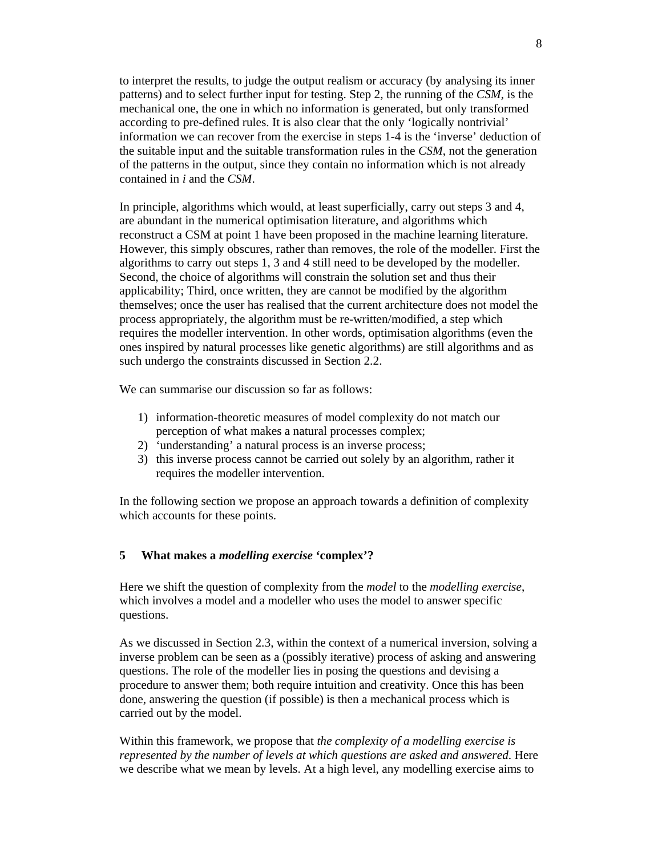to interpret the results, to judge the output realism or accuracy (by analysing its inner patterns) and to select further input for testing. Step 2, the running of the *CSM,* is the mechanical one, the one in which no information is generated, but only transformed according to pre-defined rules. It is also clear that the only 'logically nontrivial' information we can recover from the exercise in steps 1-4 is the 'inverse' deduction of the suitable input and the suitable transformation rules in the *CSM*, not the generation of the patterns in the output, since they contain no information which is not already contained in *i* and the *CSM*.

In principle, algorithms which would, at least superficially, carry out steps 3 and 4, are abundant in the numerical optimisation literature, and algorithms which reconstruct a CSM at point 1 have been proposed in the machine learning literature. However, this simply obscures, rather than removes, the role of the modeller. First the algorithms to carry out steps 1, 3 and 4 still need to be developed by the modeller. Second, the choice of algorithms will constrain the solution set and thus their applicability; Third, once written, they are cannot be modified by the algorithm themselves; once the user has realised that the current architecture does not model the process appropriately, the algorithm must be re-written/modified, a step which requires the modeller intervention. In other words, optimisation algorithms (even the ones inspired by natural processes like genetic algorithms) are still algorithms and as such undergo the constraints discussed in Section 2.2.

We can summarise our discussion so far as follows:

- 1) information-theoretic measures of model complexity do not match our perception of what makes a natural processes complex;
- 2) 'understanding' a natural process is an inverse process;
- 3) this inverse process cannot be carried out solely by an algorithm, rather it requires the modeller intervention.

In the following section we propose an approach towards a definition of complexity which accounts for these points.

# **5 What makes a** *modelling exercise* **'complex'?**

Here we shift the question of complexity from the *model* to the *modelling exercise*, which involves a model and a modeller who uses the model to answer specific questions.

As we discussed in Section 2.3, within the context of a numerical inversion, solving a inverse problem can be seen as a (possibly iterative) process of asking and answering questions. The role of the modeller lies in posing the questions and devising a procedure to answer them; both require intuition and creativity. Once this has been done, answering the question (if possible) is then a mechanical process which is carried out by the model.

Within this framework, we propose that *the complexity of a modelling exercise is represented by the number of levels at which questions are asked and answered*. Here we describe what we mean by levels. At a high level, any modelling exercise aims to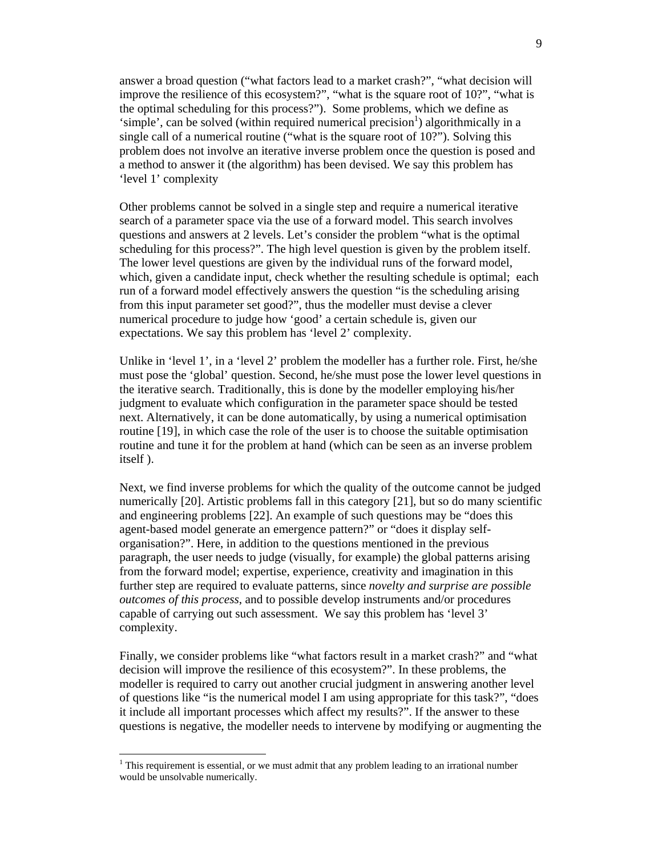answer a broad question ("what factors lead to a market crash?", "what decision will improve the resilience of this ecosystem?", "what is the square root of 10?", "what is the optimal scheduling for this process?"). Some problems, which we define as 'simple', can be solved (within required numerical precision<sup>1</sup>) algorithmically in a single call of a numerical routine ("what is the square root of 10?"). Solving this problem does not involve an iterative inverse problem once the question is posed and a method to answer it (the algorithm) has been devised. We say this problem has 'level 1' complexity

Other problems cannot be solved in a single step and require a numerical iterative search of a parameter space via the use of a forward model. This search involves questions and answers at 2 levels. Let's consider the problem "what is the optimal scheduling for this process?". The high level question is given by the problem itself. The lower level questions are given by the individual runs of the forward model, which, given a candidate input, check whether the resulting schedule is optimal; each run of a forward model effectively answers the question "is the scheduling arising from this input parameter set good?", thus the modeller must devise a clever numerical procedure to judge how 'good' a certain schedule is, given our expectations. We say this problem has 'level 2' complexity.

Unlike in 'level 1', in a 'level 2' problem the modeller has a further role. First, he/she must pose the 'global' question. Second, he/she must pose the lower level questions in the iterative search. Traditionally, this is done by the modeller employing his/her judgment to evaluate which configuration in the parameter space should be tested next. Alternatively, it can be done automatically, by using a numerical optimisation routine [19], in which case the role of the user is to choose the suitable optimisation routine and tune it for the problem at hand (which can be seen as an inverse problem itself ).

Next, we find inverse problems for which the quality of the outcome cannot be judged numerically [20]. Artistic problems fall in this category [21], but so do many scientific and engineering problems [22]. An example of such questions may be "does this agent-based model generate an emergence pattern?" or "does it display selforganisation?". Here, in addition to the questions mentioned in the previous paragraph, the user needs to judge (visually, for example) the global patterns arising from the forward model; expertise, experience, creativity and imagination in this further step are required to evaluate patterns, since *novelty and surprise are possible outcomes of this process*, and to possible develop instruments and/or procedures capable of carrying out such assessment. We say this problem has 'level 3' complexity.

Finally, we consider problems like "what factors result in a market crash?" and "what decision will improve the resilience of this ecosystem?". In these problems, the modeller is required to carry out another crucial judgment in answering another level of questions like "is the numerical model I am using appropriate for this task?", "does it include all important processes which affect my results?". If the answer to these questions is negative, the modeller needs to intervene by modifying or augmenting the

 $\overline{a}$ 

 $1$ <sup>1</sup> This requirement is essential, or we must admit that any problem leading to an irrational number would be unsolvable numerically.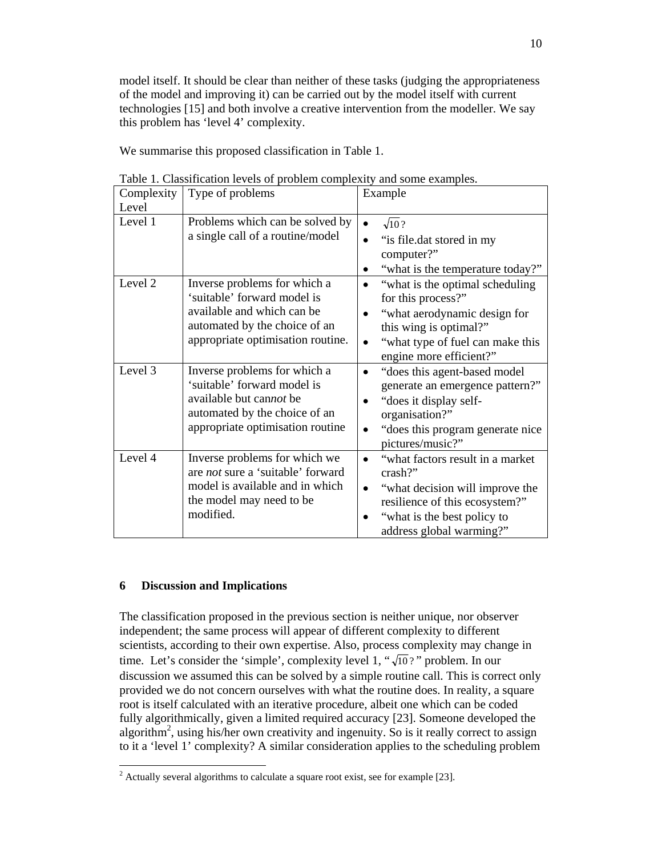model itself. It should be clear than neither of these tasks (judging the appropriateness of the model and improving it) can be carried out by the model itself with current technologies [15] and both involve a creative intervention from the modeller. We say this problem has 'level 4' complexity.

We summarise this proposed classification in Table 1.

| Complexity<br>Level | Type of problems                                                                                                                                                | Example                                                                                                                                                                                                                |
|---------------------|-----------------------------------------------------------------------------------------------------------------------------------------------------------------|------------------------------------------------------------------------------------------------------------------------------------------------------------------------------------------------------------------------|
| Level 1             | Problems which can be solved by<br>a single call of a routine/model                                                                                             | $\sqrt{10}$ ?<br>$\bullet$<br>"is file.dat stored in my<br>$\bullet$<br>computer?"<br>"what is the temperature today?"<br>$\bullet$                                                                                    |
| Level 2             | Inverse problems for which a<br>'suitable' forward model is<br>available and which can be<br>automated by the choice of an<br>appropriate optimisation routine. | "what is the optimal scheduling"<br>$\bullet$<br>for this process?"<br>"what aerodynamic design for<br>$\bullet$<br>this wing is optimal?"<br>"what type of fuel can make this<br>$\bullet$<br>engine more efficient?" |
| Level 3             | Inverse problems for which a<br>'suitable' forward model is<br>available but cannot be<br>automated by the choice of an<br>appropriate optimisation routine     | "does this agent-based model"<br>$\bullet$<br>generate an emergence pattern?"<br>"does it display self-<br>$\bullet$<br>organisation?"<br>"does this program generate nice"<br>$\bullet$<br>pictures/music?"           |
| Level 4             | Inverse problems for which we<br>are <i>not</i> sure a 'suitable' forward<br>model is available and in which<br>the model may need to be<br>modified.           | "what factors result in a market<br>$\bullet$<br>$crash?$ "<br>"what decision will improve the<br>$\bullet$<br>resilience of this ecosystem?"<br>"what is the best policy to<br>address global warming?"               |

Table 1. Classification levels of problem complexity and some examples.

# **6 Discussion and Implications**

The classification proposed in the previous section is neither unique, nor observer independent; the same process will appear of different complexity to different scientists, according to their own expertise. Also, process complexity may change in time. Let's consider the 'simple', complexity level 1, " $\sqrt{10}$ ?" problem. In our discussion we assumed this can be solved by a simple routine call. This is correct only provided we do not concern ourselves with what the routine does. In reality, a square root is itself calculated with an iterative procedure, albeit one which can be coded fully algorithmically, given a limited required accuracy [23]. Someone developed the algorithm<sup>2</sup>, using his/her own creativity and ingenuity. So is it really correct to assign to it a 'level 1' complexity? A similar consideration applies to the scheduling problem

<sup>&</sup>lt;sup>2</sup> Actually several algorithms to calculate a square root exist, see for example [23].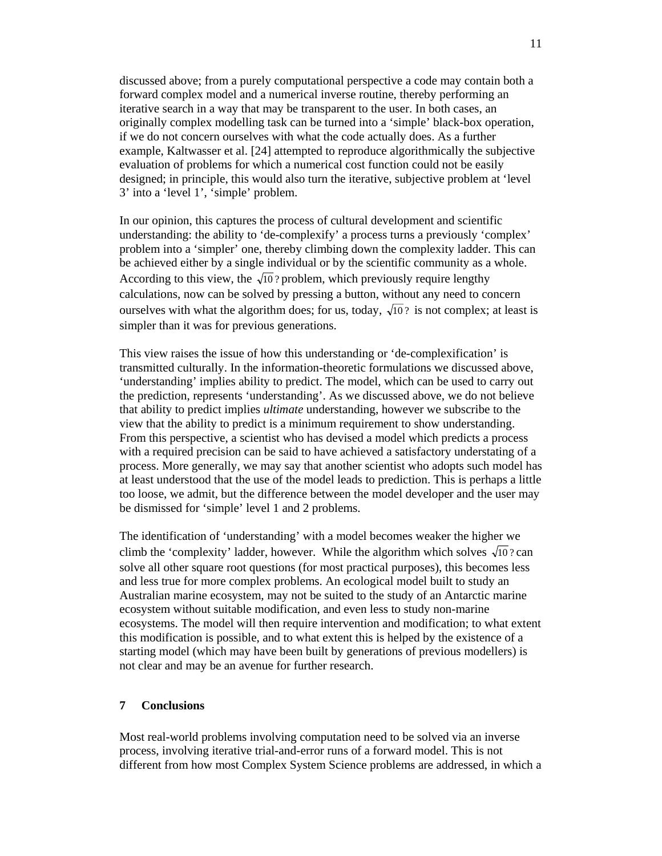discussed above; from a purely computational perspective a code may contain both a forward complex model and a numerical inverse routine, thereby performing an iterative search in a way that may be transparent to the user. In both cases, an originally complex modelling task can be turned into a 'simple' black-box operation, if we do not concern ourselves with what the code actually does. As a further example, Kaltwasser et al. [24] attempted to reproduce algorithmically the subjective evaluation of problems for which a numerical cost function could not be easily designed; in principle, this would also turn the iterative, subjective problem at 'level 3' into a 'level 1', 'simple' problem.

In our opinion, this captures the process of cultural development and scientific understanding: the ability to 'de-complexify' a process turns a previously 'complex' problem into a 'simpler' one, thereby climbing down the complexity ladder. This can be achieved either by a single individual or by the scientific community as a whole. According to this view, the  $\sqrt{10}$ ? problem, which previously require lengthy calculations, now can be solved by pressing a button, without any need to concern ourselves with what the algorithm does; for us, today,  $\sqrt{10}$ ? is not complex; at least is simpler than it was for previous generations.

This view raises the issue of how this understanding or 'de-complexification' is transmitted culturally. In the information-theoretic formulations we discussed above, 'understanding' implies ability to predict. The model, which can be used to carry out the prediction, represents 'understanding'. As we discussed above, we do not believe that ability to predict implies *ultimate* understanding, however we subscribe to the view that the ability to predict is a minimum requirement to show understanding. From this perspective, a scientist who has devised a model which predicts a process with a required precision can be said to have achieved a satisfactory understating of a process. More generally, we may say that another scientist who adopts such model has at least understood that the use of the model leads to prediction. This is perhaps a little too loose, we admit, but the difference between the model developer and the user may be dismissed for 'simple' level 1 and 2 problems.

The identification of 'understanding' with a model becomes weaker the higher we climb the 'complexity' ladder, however. While the algorithm which solves  $\sqrt{10}$ ? can solve all other square root questions (for most practical purposes), this becomes less and less true for more complex problems. An ecological model built to study an Australian marine ecosystem, may not be suited to the study of an Antarctic marine ecosystem without suitable modification, and even less to study non-marine ecosystems. The model will then require intervention and modification; to what extent this modification is possible, and to what extent this is helped by the existence of a starting model (which may have been built by generations of previous modellers) is not clear and may be an avenue for further research.

### **7 Conclusions**

Most real-world problems involving computation need to be solved via an inverse process, involving iterative trial-and-error runs of a forward model. This is not different from how most Complex System Science problems are addressed, in which a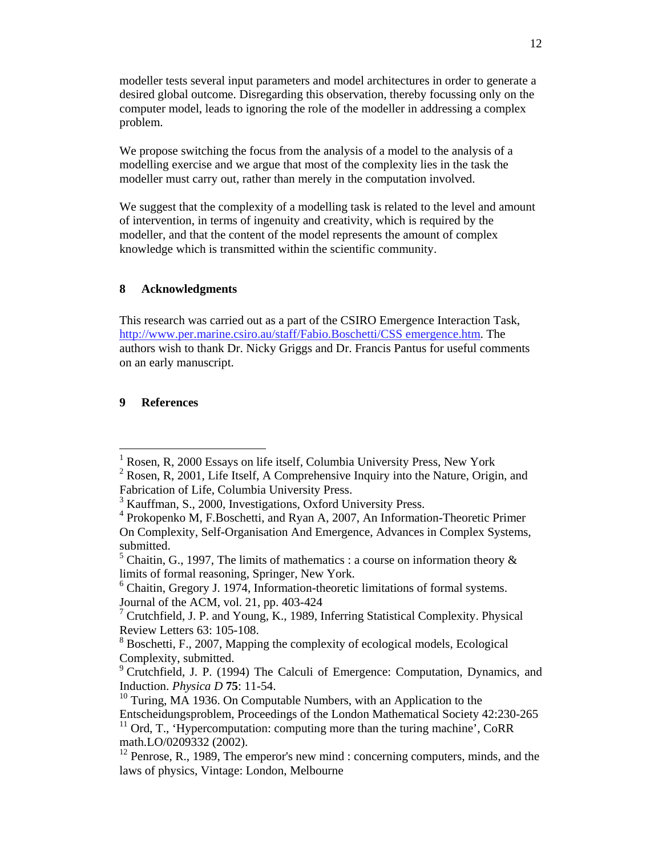modeller tests several input parameters and model architectures in order to generate a desired global outcome. Disregarding this observation, thereby focussing only on the computer model, leads to ignoring the role of the modeller in addressing a complex problem.

We propose switching the focus from the analysis of a model to the analysis of a modelling exercise and we argue that most of the complexity lies in the task the modeller must carry out, rather than merely in the computation involved.

We suggest that the complexity of a modelling task is related to the level and amount of intervention, in terms of ingenuity and creativity, which is required by the modeller, and that the content of the model represents the amount of complex knowledge which is transmitted within the scientific community.

# **8 Acknowledgments**

This research was carried out as a part of the CSIRO Emergence Interaction Task, http://www.per.marine.csiro.au/staff/Fabio.Boschetti/CSS emergence.htm. The authors wish to thank Dr. Nicky Griggs and Dr. Francis Pantus for useful comments on an early manuscript.

# **9 References**

 1 Rosen, R, 2000 Essays on life itself, Columbia University Press, New York

 $2^2$  Rosen, R, 2001, Life Itself, A Comprehensive Inquiry into the Nature, Origin, and Fabrication of Life, Columbia University Press.

<sup>&</sup>lt;sup>3</sup> Kauffman, S., 2000, Investigations, Oxford University Press.

<sup>4</sup> Prokopenko M, F.Boschetti, and Ryan A, 2007, An Information-Theoretic Primer On Complexity, Self-Organisation And Emergence, Advances in Complex Systems, submitted.

<sup>&</sup>lt;sup>5</sup> Chaitin, G., 1997, The limits of mathematics : a course on information theory  $\&$ limits of formal reasoning, Springer, New York.

<sup>&</sup>lt;sup>6</sup> Chaitin, Gregory J. 1974, Information-theoretic limitations of formal systems. Journal of the ACM, vol. 21, pp. 403-424

<sup>7</sup> Crutchfield, J. P. and Young, K., 1989, Inferring Statistical Complexity. Physical Review Letters 63: 105-108.

<sup>&</sup>lt;sup>8</sup> Boschetti, F., 2007, Mapping the complexity of ecological models, Ecological Complexity, submitted.

<sup>&</sup>lt;sup>9</sup> Crutchfield, J. P. (1994) The Calculi of Emergence: Computation, Dynamics, and Induction. *Physica D* **75**: 11-54.

 $10$  Turing, MA 1936. On Computable Numbers, with an Application to the Entscheidungsproblem, Proceedings of the London Mathematical Society 42:230-265  $11$  Ord, T., 'Hypercomputation: computing more than the turing machine', CoRR

math.LO/0209332 (2002).

 $12$  Penrose, R., 1989, The emperor's new mind : concerning computers, minds, and the laws of physics, Vintage: London, Melbourne